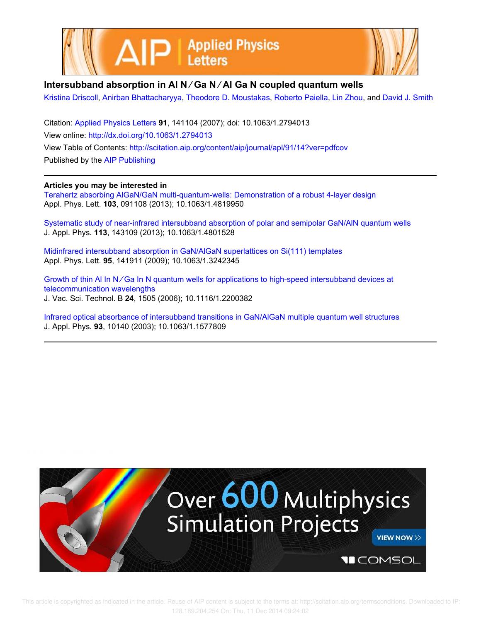



## **Intersubband absorption in Al N ∕ Ga N ∕ Al Ga N coupled quantum wells**

Kristina Driscoll, Anirban Bhattacharyya, Theodore D. Moustakas, Roberto Paiella, Lin Zhou, and David J. Smith

Citation: Applied Physics Letters **91**, 141104 (2007); doi: 10.1063/1.2794013 View online: http://dx.doi.org/10.1063/1.2794013 View Table of Contents: http://scitation.aip.org/content/aip/journal/apl/91/14?ver=pdfcov Published by the AIP Publishing

**Articles you may be interested in**

Terahertz absorbing AlGaN/GaN multi-quantum-wells: Demonstration of a robust 4-layer design Appl. Phys. Lett. **103**, 091108 (2013); 10.1063/1.4819950

Systematic study of near-infrared intersubband absorption of polar and semipolar GaN/AlN quantum wells J. Appl. Phys. **113**, 143109 (2013); 10.1063/1.4801528

Midinfrared intersubband absorption in GaN/AlGaN superlattices on Si(111) templates Appl. Phys. Lett. **95**, 141911 (2009); 10.1063/1.3242345

Growth of thin Al In N∕Ga In N quantum wells for applications to high-speed intersubband devices at telecommunication wavelengths J. Vac. Sci. Technol. B **24**, 1505 (2006); 10.1116/1.2200382

Infrared optical absorbance of intersubband transitions in GaN/AlGaN multiple quantum well structures J. Appl. Phys. **93**, 10140 (2003); 10.1063/1.1577809

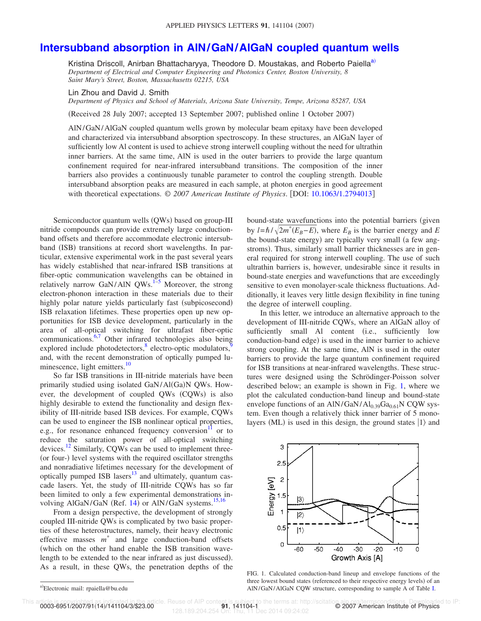## **Intersubband absorption in AlN/GaN/AlGaN coupled quantum wells**

Kristina Driscoll, Anirban Bhattacharyya, Theodore D. Moustakas, and Roberto Paiella<sup>a)</sup> *Department of Electrical and Computer Engineering and Photonics Center, Boston University, 8 Saint Mary's Street, Boston, Massachusetts 02215, USA*

Lin Zhou and David J. Smith

*Department of Physics and School of Materials, Arizona State University, Tempe, Arizona 85287, USA*

Received 28 July 2007; accepted 13 September 2007; published online 1 October 2007-

AlN/GaN/AlGaN coupled quantum wells grown by molecular beam epitaxy have been developed and characterized via intersubband absorption spectroscopy. In these structures, an AlGaN layer of sufficiently low Al content is used to achieve strong interwell coupling without the need for ultrathin inner barriers. At the same time, AlN is used in the outer barriers to provide the large quantum confinement required for near-infrared intersubband transitions. The composition of the inner barriers also provides a continuously tunable parameter to control the coupling strength. Double intersubband absorption peaks are measured in each sample, at photon energies in good agreement with theoretical expectations.  $\odot$  2007 American Institute of Physics. [DOI: 10.1063/1.2794013]

Semiconductor quantum wells (QWs) based on group-III nitride compounds can provide extremely large conductionband offsets and therefore accommodate electronic intersubband (ISB) transitions at record short wavelengths. In particular, extensive experimental work in the past several years has widely established that near-infrared ISB transitions at fiber-optic communication wavelengths can be obtained in relatively narrow GaN/AlN  $QWs$ .<sup>1-5</sup> Moreover, the strong electron-phonon interaction in these materials due to their highly polar nature yields particularly fast (subpicosecond) ISB relaxation lifetimes. These properties open up new opportunities for ISB device development, particularly in the area of all-optical switching for ultrafast fiber-optic communications.<sup>6,7</sup> Other infrared technologies also being explored include photodetectors,  $\frac{8}{3}$  electro-optic modulators,  $\frac{8}{3}$ and, with the recent demonstration of optically pumped luminescence, light emitters.<sup>10</sup>

So far ISB transitions in III-nitride materials have been primarily studied using isolated GaN/Al(Ga)N QWs. However, the development of coupled QWs (CQWs) is also highly desirable to extend the functionality and design flexibility of III-nitride based ISB devices. For example, CQWs can be used to engineer the ISB nonlinear optical properties, e.g., for resonance enhanced frequency conversion $\frac{11}{10}$  or to reduce the saturation power of all-optical switching devices.<sup>12</sup> Similarly, CQWs can be used to implement three-(or four-) level systems with the required oscillator strengths and nonradiative lifetimes necessary for the development of optically pumped ISB lasers $^{13}$  and ultimately, quantum cascade lasers. Yet, the study of III-nitride CQWs has so far been limited to only a few experimental demonstrations involving AlGaN/GaN (Ref. 14) or AlN/GaN systems.<sup>15,16</sup>

From a design perspective, the development of strongly coupled III-nitride QWs is complicated by two basic properties of these heterostructures, namely, their heavy electronic effective masses *m* \* and large conduction-band offsets which on the other hand enable the ISB transition wavelength to be extended to the near infrared as just discussed). As a result, in these QWs, the penetration depths of the bound-state wavefunctions into the potential barriers (given by  $l = \hbar / \sqrt{2m^*(E_B - E)}$ , where  $E_B$  is the barrier energy and *E* the bound-state energy) are typically very small (a few angstroms). Thus, similarly small barrier thicknesses are in general required for strong interwell coupling. The use of such ultrathin barriers is, however, undesirable since it results in bound-state energies and wavefunctions that are exceedingly sensitive to even monolayer-scale thickness fluctuations. Additionally, it leaves very little design flexibility in fine tuning the degree of interwell coupling.

In this letter, we introduce an alternative approach to the development of III-nitride CQWs, where an AlGaN alloy of sufficiently small Al content (i.e., sufficiently low conduction-band edge) is used in the inner barrier to achieve strong coupling. At the same time, AlN is used in the outer barriers to provide the large quantum confinement required for ISB transitions at near-infrared wavelengths. These structures were designed using the Schrödinger-Poisson solver described below; an example is shown in Fig. 1, where we plot the calculated conduction-band lineup and bound-state envelope functions of an AlN/GaN/Al<sub>0.39</sub>Ga<sub>0.61</sub>N CQW system. Even though a relatively thick inner barrier of 5 monolayers (ML) is used in this design, the ground states  $|1\rangle$  and



FIG. 1. Calculated conduction-band lineup and envelope functions of the three lowest bound states (referenced to their respective energy levels) of an AlN/GaN/AlGaN CQW structure, corresponding to sample A of Table I.

This article is copyrighted as indicated in the article. Reuse of AIP content is subject to the terms at: http://scitation.aip.org/termsconditions. Downloaded to IP:<br>0003-6951/2007/91(14)/141104/3/\$23.00 128.189.204.254 On: Thu, 11 Dec 2014 09:24:02

a)Electronic mail: rpaiella@bu.edu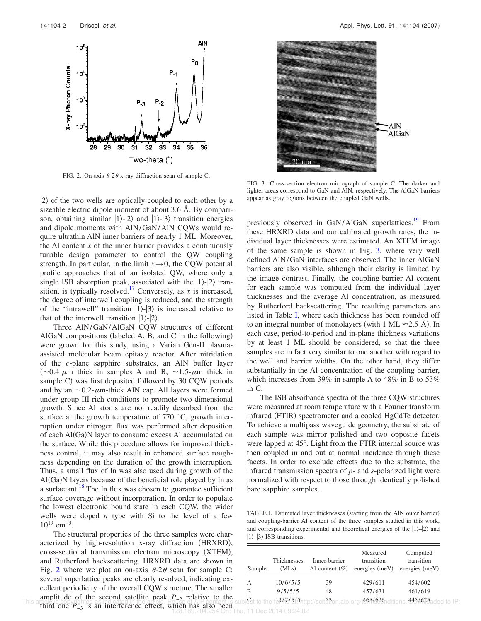

FIG. 2. On-axis  $\theta$ -2 $\theta$  x-ray diffraction scan of sample C.

 $|2\rangle$  of the two wells are optically coupled to each other by a sizeable electric dipole moment of about 3.6 Å. By comparison, obtaining similar  $|1\rangle$ - $|2\rangle$  and  $|1\rangle$ - $|3\rangle$  transition energies and dipole moments with AlN/GaN/AlN CQWs would require ultrathin AlN inner barriers of nearly 1 ML. Moreover, the Al content  $x$  of the inner barrier provides a continuously tunable design parameter to control the QW coupling strength. In particular, in the limit  $x \rightarrow 0$ , the CQW potential profile approaches that of an isolated QW, where only a single ISB absorption peak, associated with the  $|1\rangle$ - $|2\rangle$  transition, is typically resolved.<sup>17</sup> Conversely, as *x* is increased, the degree of interwell coupling is reduced, and the strength of the "intrawell" transition  $|1\rangle$ - $|3\rangle$  is increased relative to that of the interwell transition  $|1\rangle$ - $|2\rangle$ .

Three AlN/GaN/AlGaN CQW structures of different AlGaN compositions (labeled A, B, and C in the following) were grown for this study, using a Varian Gen-II plasmaassisted molecular beam epitaxy reactor. After nitridation of the *c*-plane sapphire substrates, an AlN buffer layer ( $\sim$ 0.4  $\mu$ m thick in samples A and B,  $\sim$ 1.5- $\mu$ m thick in sample C) was first deposited followed by 30 CQW periods and by an  $\sim 0.2$ - $\mu$ m-thick AlN cap. All layers were formed under group-III-rich conditions to promote two-dimensional growth. Since Al atoms are not readily desorbed from the surface at the growth temperature of  $770\text{ °C}$ , growth interruption under nitrogen flux was performed after deposition of each Al(Ga)N layer to consume excess Al accumulated on the surface. While this procedure allows for improved thickness control, it may also result in enhanced surface roughness depending on the duration of the growth interruption. Thus, a small flux of In was also used during growth of the Al(Ga)N layers because of the beneficial role played by In as a surfactant.<sup>18</sup> The In flux was chosen to guarantee sufficient surface coverage without incorporation. In order to populate the lowest electronic bound state in each CQW, the wider wells were doped *n* type with Si to the level of a few  $10^{19}$  cm<sup>-3</sup>.

The structural properties of the three samples were characterized by high-resolution x-ray diffraction (HRXRD), cross-sectional transmission electron microscopy (XTEM), and Rutherford backscattering. HRXRD data are shown in Fig. 2 where we plot an on-axis  $\theta$ -2 $\theta$  scan for sample C: several superlattice peaks are clearly resolved, indicating excellent periodicity of the overall CQW structure. The smaller amplitude of the second satellite peak *P*−2 relative to the This anticle is copyrighted as notcaled to the article. He use of AIP content is subject to the tel-t-t/  $2(2)$ ntp://scitation.aip.org/t999/929nditions. 934/942aded to IP:<br>third one  $P_{-3}$  is an interference effect, whic



FIG. 3. Cross-section electron micrograph of sample C. The darker and lighter areas correspond to GaN and AlN, respectively. The AlGaN barriers appear as gray regions between the coupled GaN wells.

previously observed in GaN/AlGaN superlattices.<sup>19</sup> From these HRXRD data and our calibrated growth rates, the individual layer thicknesses were estimated. An XTEM image of the same sample is shown in Fig. 3, where very well defined AlN/GaN interfaces are observed. The inner AlGaN barriers are also visible, although their clarity is limited by the image contrast. Finally, the coupling-barrier Al content for each sample was computed from the individual layer thicknesses and the average Al concentration, as measured by Rutherford backscattering. The resulting parameters are listed in Table I, where each thickness has been rounded off to an integral number of monolayers (with  $1 \text{ ML} \approx 2.5 \text{ Å}$ ). In each case, period-to-period and in-plane thickness variations by at least 1 ML should be considered, so that the three samples are in fact very similar to one another with regard to the well and barrier widths. On the other hand, they differ substantially in the Al concentration of the coupling barrier, which increases from 39% in sample A to 48% in B to 53% in C.

The ISB absorbance spectra of the three CQW structures were measured at room temperature with a Fourier transform infrared (FTIR) spectrometer and a cooled HgCdTe detector. To achieve a multipass waveguide geometry, the substrate of each sample was mirror polished and two opposite facets were lapped at 45°. Light from the FTIR internal source was then coupled in and out at normal incidence through these facets. In order to exclude effects due to the substrate, the infrared transmission spectra of *p*- and *s*-polarized light were normalized with respect to those through identically polished bare sapphire samples.

TABLE I. Estimated layer thicknesses (starting from the AlN outer barrier) and coupling-barrier Al content of the three samples studied in this work, and corresponding experimental and theoretical energies of the  $|1\rangle$ – $|2\rangle$  and  $|1\rangle$ - $|3\rangle$  ISB transitions.

| Sample | <b>Thicknesses</b><br>(MLs) | Inner-barrier<br>Al content $(\% )$ | Measured<br>transition<br>energies $(meV)$                                    | Computed<br>transition<br>energies $(meV)$ |
|--------|-----------------------------|-------------------------------------|-------------------------------------------------------------------------------|--------------------------------------------|
| А      | 10/6/5/5                    | 39                                  | 429/611                                                                       | 454/602                                    |
| B      | 9/5/5/5                     | 48                                  | 457/631                                                                       | 461/619                                    |
|        |                             |                                     | isct to the t414795{5http://scitaton.aip.org/t465{626nditions. 445M6?5aded to |                                            |

128.189.204.254 On: Thu, 11 Dec 2014 09:24:02